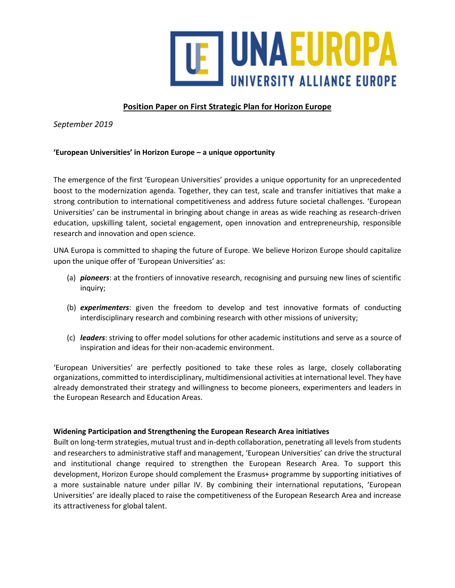

# **Position Paper on First Strategic Plan for Horizon Europe**

*September 2019*

### **'European Universities' in Horizon Europe – a unique opportunity**

The emergence of the first 'European Universities' provides a unique opportunity for an unprecedented boost to the modernization agenda. Together, they can test, scale and transfer initiatives that make a strong contribution to international competitiveness and address future societal challenges. 'European Universities' can be instrumental in bringing about change in areas as wide reaching as research-driven education, upskilling talent, societal engagement, open innovation and entrepreneurship, responsible research and innovation and open science.

UNA Europa is committed to shaping the future of Europe. We believe Horizon Europe should capitalize upon the unique offer of 'European Universities' as:

- (a) *pioneers*: at the frontiers of innovative research, recognising and pursuing new lines of scientific inquiry;
- (b) *experimenters*: given the freedom to develop and test innovative formats of conducting interdisciplinary research and combining research with other missions of university;
- (c) *leaders*: striving to offer model solutions for other academic institutions and serve as a source of inspiration and ideas for their non-academic environment.

'European Universities' are perfectly positioned to take these roles as large, closely collaborating organizations, committed to interdisciplinary, multidimensional activities at international level. They have already demonstrated their strategy and willingness to become pioneers, experimenters and leaders in the European Research and Education Areas.

### **Widening Participation and Strengthening the European Research Area initiatives**

Built on long-term strategies, mutual trust and in-depth collaboration, penetrating all levels from students and researchers to administrative staff and management, 'European Universities' can drive the structural and institutional change required to strengthen the European Research Area. To support this development, Horizon Europe should complement the Erasmus+ programme by supporting initiatives of a more sustainable nature under pillar IV. By combining their international reputations, 'European Universities' are ideally placed to raise the competitiveness of the European Research Area and increase its attractiveness for global talent.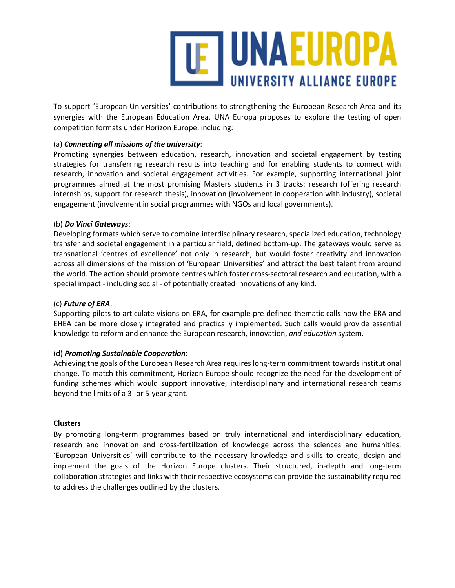

To support 'European Universities' contributions to strengthening the European Research Area and its synergies with the European Education Area, UNA Europa proposes to explore the testing of open competition formats under Horizon Europe, including:

### (a) *Connecting all missions of the university*:

Promoting synergies between education, research, innovation and societal engagement by testing strategies for transferring research results into teaching and for enabling students to connect with research, innovation and societal engagement activities. For example, supporting international joint programmes aimed at the most promising Masters students in 3 tracks: research (offering research internships, support for research thesis), innovation (involvement in cooperation with industry), societal engagement (involvement in social programmes with NGOs and local governments).

### (b) *Da Vinci Gateways*:

Developing formats which serve to combine interdisciplinary research, specialized education, technology transfer and societal engagement in a particular field, defined bottom-up. The gateways would serve as transnational 'centres of excellence' not only in research, but would foster creativity and innovation across all dimensions of the mission of 'European Universities' and attract the best talent from around the world. The action should promote centres which foster cross-sectoral research and education, with a special impact - including social - of potentially created innovations of any kind.

## (c) *Future of ERA*:

Supporting pilots to articulate visions on ERA, for example pre-defined thematic calls how the ERA and EHEA can be more closely integrated and practically implemented. Such calls would provide essential knowledge to reform and enhance the European research, innovation, *and education* system.

### (d) *Promoting Sustainable Cooperation*:

Achieving the goals of the European Research Area requires long-term commitment towards institutional change. To match this commitment, Horizon Europe should recognize the need for the development of funding schemes which would support innovative, interdisciplinary and international research teams beyond the limits of a 3- or 5-year grant.

### **Clusters**

By promoting long-term programmes based on truly international and interdisciplinary education, research and innovation and cross-fertilization of knowledge across the sciences and humanities, 'European Universities' will contribute to the necessary knowledge and skills to create, design and implement the goals of the Horizon Europe clusters. Their structured, in-depth and long-term collaboration strategies and links with their respective ecosystems can provide the sustainability required to address the challenges outlined by the clusters.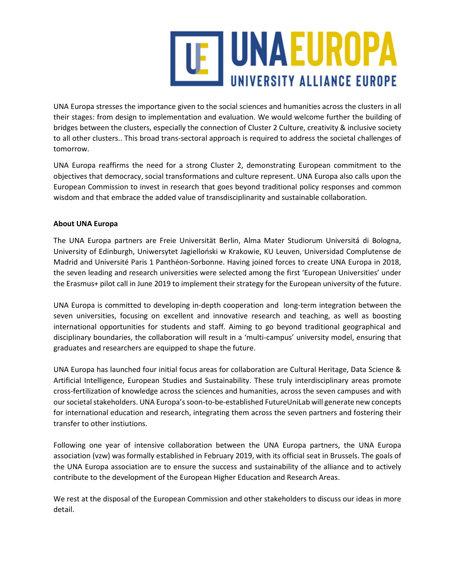

UNA Europa stresses the importance given to the social sciences and humanities across the clusters in all their stages: from design to implementation and evaluation. We would welcome further the building of bridges between the clusters, especially the connection of Cluster 2 Culture, creativity & inclusive society to all other clusters.. This broad trans-sectoral approach is required to address the societal challenges of tomorrow.

UNA Europa reaffirms the need for a strong Cluster 2, demonstrating European commitment to the objectives that democracy, social transformations and culture represent. UNA Europa also calls upon the European Commission to invest in research that goes beyond traditional policy responses and common wisdom and that embrace the added value of transdisciplinarity and sustainable collaboration.

## **About UNA Europa**

The UNA Europa partners are Freie Universität Berlin, Alma Mater Studiorum Universitá di Bologna, University of Edinburgh, Uniwersytet Jagielloński w Krakowie, KU Leuven, Universidad Complutense de Madrid and Université Paris 1 Panthéon-Sorbonne. Having joined forces to create UNA Europa in 2018, the seven leading and research universities were selected among the first 'European Universities' under the Erasmus+ pilot call in June 2019 to implement their strategy for the European university of the future.

UNA Europa is committed to developing in-depth cooperation and long-term integration between the seven universities, focusing on excellent and innovative research and teaching, as well as boosting international opportunities for students and staff. Aiming to go beyond traditional geographical and disciplinary boundaries, the collaboration will result in a 'multi-campus' university model, ensuring that graduates and researchers are equipped to shape the future.

UNA Europa has launched four initial focus areas for collaboration are Cultural Heritage, Data Science & Artificial Intelligence, European Studies and Sustainability. These truly interdisciplinary areas promote cross-fertilization of knowledge across the sciences and humanities, across the seven campuses and with our societal stakeholders. UNA Europa's soon-to-be-established FutureUniLab will generate new concepts for international education and research, integrating them across the seven partners and fostering their transfer to other instiutions.

Following one year of intensive collaboration between the UNA Europa partners, the UNA Europa association (vzw) was formally established in February 2019, with its official seat in Brussels. The goals of the UNA Europa association are to ensure the success and sustainability of the alliance and to actively contribute to the development of the European Higher Education and Research Areas.

We rest at the disposal of the European Commission and other stakeholders to discuss our ideas in more detail.